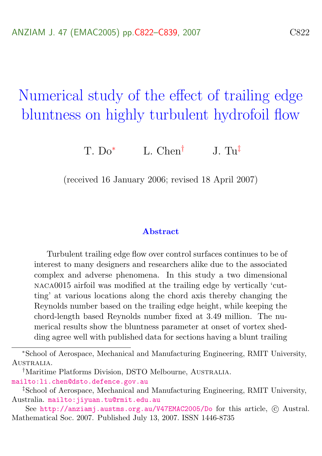# Numerical study of the effect of trailing edge bluntness on highly turbulent hydrofoil flow

 $T \cdot Do^*$  L. Chen<sup>†</sup> J. Tu<sup>‡</sup>

(received 16 January 2006; revised 18 April 2007)

#### Abstract

Turbulent trailing edge flow over control surfaces continues to be of interest to many designers and researchers alike due to the associated complex and adverse phenomena. In this study a two dimensional naca0015 airfoil was modified at the trailing edge by vertically 'cutting' at various locations along the chord axis thereby changing the Reynolds number based on the trailing edge height, while keeping the chord-length based Reynolds number fixed at 3.49 million. The numerical results show the bluntness parameter at onset of vortex shedding agree well with published data for sections having a blunt trailing

<mailto:li.chen@dsto.defence.gov.au>

<sup>∗</sup>School of Aerospace, Mechanical and Manufacturing Engineering, RMIT University, AUSTRALIA

<sup>&</sup>lt;sup>†</sup>Maritime Platforms Division, DSTO Melbourne, AUSTRALIA.

<sup>‡</sup>School of Aerospace, Mechanical and Manufacturing Engineering, RMIT University, Australia. <mailto:jiyuan.tu@rmit.edu.au>

See <http://anziamj.austms.org.au/V47EMAC2005/Do> for this article,  $\odot$  Austral. Mathematical Soc. 2007. Published July 13, 2007. ISSN 1446-8735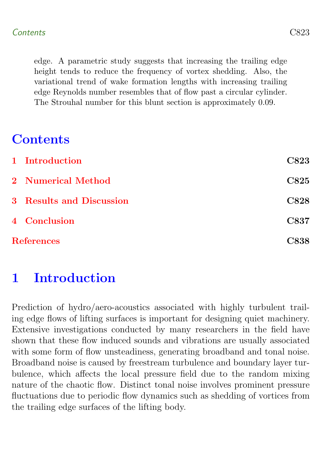edge. A parametric study suggests that increasing the trailing edge height tends to reduce the frequency of vortex shedding. Also, the variational trend of wake formation lengths with increasing trailing edge Reynolds number resembles that of flow past a circular cylinder. The Strouhal number for this blunt section is approximately 0.09.

## **Contents**

|                   | 1 Introduction                  | <b>C823</b> |
|-------------------|---------------------------------|-------------|
|                   | 2 Numerical Method              | C825        |
|                   | <b>3</b> Results and Discussion | C828        |
|                   | 4 Conclusion                    | C837        |
| <b>References</b> |                                 |             |

# <span id="page-1-0"></span>1 Introduction

Prediction of hydro/aero-acoustics associated with highly turbulent trailing edge flows of lifting surfaces is important for designing quiet machinery. Extensive investigations conducted by many researchers in the field have shown that these flow induced sounds and vibrations are usually associated with some form of flow unsteadiness, generating broadband and tonal noise. Broadband noise is caused by freestream turbulence and boundary layer turbulence, which affects the local pressure field due to the random mixing nature of the chaotic flow. Distinct tonal noise involves prominent pressure fluctuations due to periodic flow dynamics such as shedding of vortices from the trailing edge surfaces of the lifting body.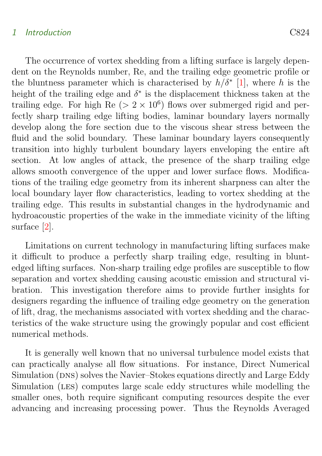#### <span id="page-2-0"></span>1 Introduction C824

The occurrence of vortex shedding from a lifting surface is largely dependent on the Reynolds number, Re, and the trailing edge geometric profile or the bluntness parameter which is characterised by  $h/\delta^*$  [\[1\]](#page-16-1), where h is the height of the trailing edge and  $\delta^*$  is the displacement thickness taken at the trailing edge. For high  $\text{Re}$  ( $> 2 \times 10^6$ ) flows over submerged rigid and perfectly sharp trailing edge lifting bodies, laminar boundary layers normally develop along the fore section due to the viscous shear stress between the fluid and the solid boundary. These laminar boundary layers consequently transition into highly turbulent boundary layers enveloping the entire aft section. At low angles of attack, the presence of the sharp trailing edge allows smooth convergence of the upper and lower surface flows. Modifications of the trailing edge geometry from its inherent sharpness can alter the local boundary layer flow characteristics, leading to vortex shedding at the trailing edge. This results in substantial changes in the hydrodynamic and hydroacoustic properties of the wake in the immediate vicinity of the lifting surface [\[2\]](#page-16-2).

Limitations on current technology in manufacturing lifting surfaces make it difficult to produce a perfectly sharp trailing edge, resulting in bluntedged lifting surfaces. Non-sharp trailing edge profiles are susceptible to flow separation and vortex shedding causing acoustic emission and structural vibration. This investigation therefore aims to provide further insights for designers regarding the influence of trailing edge geometry on the generation of lift, drag, the mechanisms associated with vortex shedding and the characteristics of the wake structure using the growingly popular and cost efficient numerical methods.

It is generally well known that no universal turbulence model exists that can practically analyse all flow situations. For instance, Direct Numerical Simulation (DNS) solves the Navier–Stokes equations directly and Large Eddy Simulation (LES) computes large scale eddy structures while modelling the smaller ones, both require significant computing resources despite the ever advancing and increasing processing power. Thus the Reynolds Averaged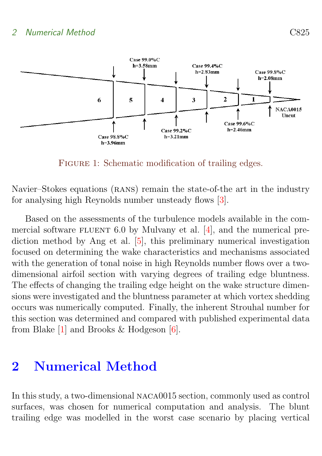<span id="page-3-2"></span>

<span id="page-3-1"></span>FIGURE 1: Schematic modification of trailing edges.

Navier–Stokes equations (RANS) remain the state-of-the art in the industry for analysing high Reynolds number unsteady flows [\[3\]](#page-16-3).

Based on the assessments of the turbulence models available in the commercial software  $FLUENT 6.0$  by Mulvany et al. [\[4\]](#page-16-4), and the numerical prediction method by Ang et al. [\[5\]](#page-16-5), this preliminary numerical investigation focused on determining the wake characteristics and mechanisms associated with the generation of tonal noise in high Reynolds number flows over a twodimensional airfoil section with varying degrees of trailing edge bluntness. The effects of changing the trailing edge height on the wake structure dimensions were investigated and the bluntness parameter at which vortex shedding occurs was numerically computed. Finally, the inherent Strouhal number for this section was determined and compared with published experimental data from Blake [\[1\]](#page-16-1) and Brooks & Hodgeson [\[6\]](#page-17-0).

### <span id="page-3-0"></span>2 Numerical Method

In this study, a two-dimensional naca0015 section, commonly used as control surfaces, was chosen for numerical computation and analysis. The blunt trailing edge was modelled in the worst case scenario by placing vertical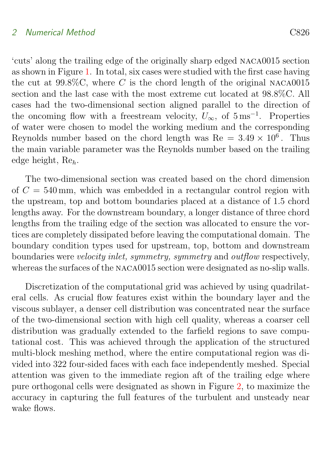#### 2 Numerical Method C826

'cuts' along the trailing edge of the originally sharp edged naca0015 section as shown in Figure [1.](#page-3-1) In total, six cases were studied with the first case having the cut at  $99.8\%$ C, where C is the chord length of the original NACA0015 section and the last case with the most extreme cut located at 98.8%C. All cases had the two-dimensional section aligned parallel to the direction of the oncoming flow with a freestream velocity,  $U_{\infty}$ , of  $5 \text{ ms}^{-1}$ . Properties of water were chosen to model the working medium and the corresponding Reynolds number based on the chord length was  $Re = 3.49 \times 10^6$ . Thus the main variable parameter was the Reynolds number based on the trailing edge height, Reh.

The two-dimensional section was created based on the chord dimension of  $C = 540$  mm, which was embedded in a rectangular control region with the upstream, top and bottom boundaries placed at a distance of 1.5 chord lengths away. For the downstream boundary, a longer distance of three chord lengths from the trailing edge of the section was allocated to ensure the vortices are completely dissipated before leaving the computational domain. The boundary condition types used for upstream, top, bottom and downstream boundaries were velocity inlet, symmetry, symmetry and outflow respectively, whereas the surfaces of the NACA0015 section were designated as no-slip walls.

Discretization of the computational grid was achieved by using quadrilateral cells. As crucial flow features exist within the boundary layer and the viscous sublayer, a denser cell distribution was concentrated near the surface of the two-dimensional section with high cell quality, whereas a coarser cell distribution was gradually extended to the farfield regions to save computational cost. This was achieved through the application of the structured multi-block meshing method, where the entire computational region was divided into 322 four-sided faces with each face independently meshed. Special attention was given to the immediate region aft of the trailing edge where pure orthogonal cells were designated as shown in Figure [2,](#page-5-0) to maximize the accuracy in capturing the full features of the turbulent and unsteady near wake flows.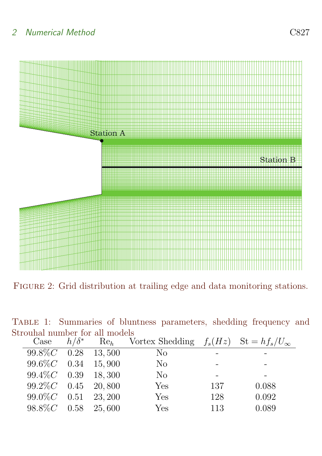### 2 Numerical Method C827



<span id="page-5-0"></span>FIGURE 2: Grid distribution at trailing edge and data monitoring stations.

|  |                                |  | TABLE 1: Summaries of bluntness parameters, shedding frequency and |  |  |
|--|--------------------------------|--|--------------------------------------------------------------------|--|--|
|  | Strouhal number for all models |  |                                                                    |  |  |

<span id="page-5-1"></span>

| Case                   | $h/\delta^*$ | $Re_h$ | Vortex Shedding $f_s(Hz)$ St = $hf_s/U_\infty$ |     |       |
|------------------------|--------------|--------|------------------------------------------------|-----|-------|
| $99.8\%C$ 0.28 13,500  |              |        | No                                             |     |       |
| $99.6\%C$ 0.34 15,900  |              |        | N <sub>o</sub>                                 |     |       |
| $99.4\%C$ 0.39 18, 300 |              |        | N <sub>o</sub>                                 |     |       |
| $99.2\%C$ 0.45 20,800  |              |        | Yes                                            | 137 | 0.088 |
| $99.0\%C$ 0.51 23, 200 |              |        | Yes                                            | 128 | 0.092 |
| $98.8\%C$ 0.58         |              | 25,600 | Yes                                            | 113 | 0.089 |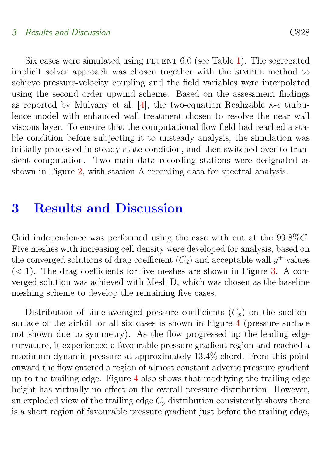#### <span id="page-6-1"></span>3 Results and Discussion C828

Six cases were simulated using FLUENT  $6.0$  (see Table [1\)](#page-5-1). The segregated implicit solver approach was chosen together with the simple method to achieve pressure-velocity coupling and the field variables were interpolated using the second order upwind scheme. Based on the assessment findings as reported by Mulvany et al. [\[4\]](#page-16-4), the two-equation Realizable  $\kappa$ - $\epsilon$  turbulence model with enhanced wall treatment chosen to resolve the near wall viscous layer. To ensure that the computational flow field had reached a stable condition before subjecting it to unsteady analysis, the simulation was initially processed in steady-state condition, and then switched over to transient computation. Two main data recording stations were designated as shown in Figure [2,](#page-5-0) with station A recording data for spectral analysis.

### <span id="page-6-0"></span>3 Results and Discussion

Grid independence was performed using the case with cut at the 99.8%C. Five meshes with increasing cell density were developed for analysis, based on the converged solutions of drag coefficient  $(C_d)$  and acceptable wall  $y^+$  values  $(< 1$ ). The drag coefficients for five meshes are shown in Figure [3.](#page-7-0) A converged solution was achieved with Mesh D, which was chosen as the baseline meshing scheme to develop the remaining five cases.

Distribution of time-averaged pressure coefficients  $(C_p)$  on the suctionsurface of the airfoil for all six cases is shown in Figure [4](#page-8-0) (pressure surface not shown due to symmetry). As the flow progressed up the leading edge curvature, it experienced a favourable pressure gradient region and reached a maximum dynamic pressure at approximately 13.4% chord. From this point onward the flow entered a region of almost constant adverse pressure gradient up to the trailing edge. Figure [4](#page-8-0) also shows that modifying the trailing edge height has virtually no effect on the overall pressure distribution. However, an exploded view of the trailing edge  $C_p$  distribution consistently shows there is a short region of favourable pressure gradient just before the trailing edge,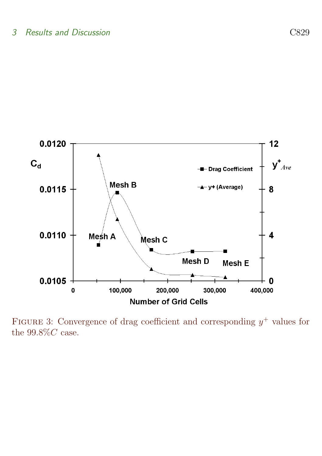

<span id="page-7-0"></span>FIGURE 3: Convergence of drag coefficient and corresponding  $y^+$  values for the  $99.8\%C$  case.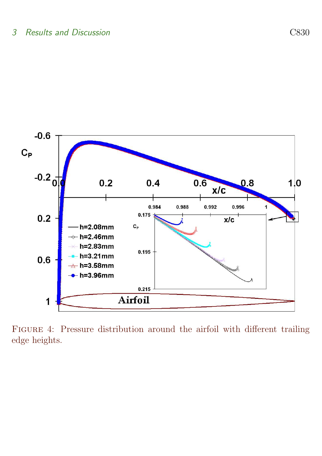

<span id="page-8-0"></span>Figure 4: Pressure distribution around the airfoil with different trailing edge heights.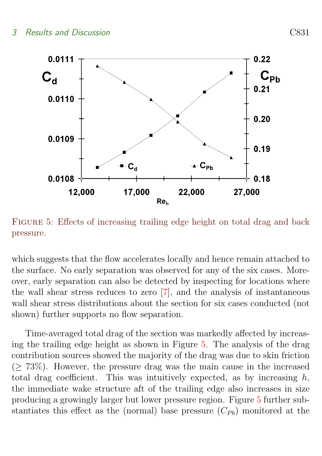<span id="page-9-1"></span>

<span id="page-9-0"></span>FIGURE 5: Effects of increasing trailing edge height on total drag and back pressure.

which suggests that the flow accelerates locally and hence remain attached to the surface. No early separation was observed for any of the six cases. Moreover, early separation can also be detected by inspecting for locations where the wall shear stress reduces to zero [\[7\]](#page-17-1), and the analysis of instantaneous wall shear stress distributions about the section for six cases conducted (not shown) further supports no flow separation.

Time-averaged total drag of the section was markedly affected by increasing the trailing edge height as shown in Figure [5.](#page-9-0) The analysis of the drag contribution sources showed the majority of the drag was due to skin friction  $(> 73\%)$ . However, the pressure drag was the main cause in the increased total drag coefficient. This was intuitively expected, as by increasing  $h$ , the immediate wake structure aft of the trailing edge also increases in size producing a growingly larger but lower pressure region. Figure [5](#page-9-0) further substantiates this effect as the (normal) base pressure  $(C_{Pb})$  monitored at the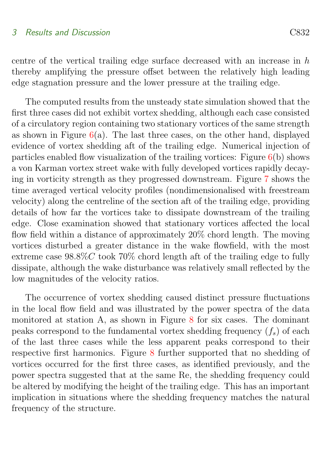#### 3 Results and Discussion C832

centre of the vertical trailing edge surface decreased with an increase in h thereby amplifying the pressure offset between the relatively high leading edge stagnation pressure and the lower pressure at the trailing edge.

The computed results from the unsteady state simulation showed that the first three cases did not exhibit vortex shedding, although each case consisted of a circulatory region containing two stationary vortices of the same strength as shown in Figure  $6(a)$  $6(a)$ . The last three cases, on the other hand, displayed evidence of vortex shedding aft of the trailing edge. Numerical injection of particles enabled flow visualization of the trailing vortices: Figure  $6(b)$  $6(b)$  shows a von Karman vortex street wake with fully developed vortices rapidly decaying in vorticity strength as they progressed downstream. Figure [7](#page-12-0) shows the time averaged vertical velocity profiles (nondimensionalised with freestream velocity) along the centreline of the section aft of the trailing edge, providing details of how far the vortices take to dissipate downstream of the trailing edge. Close examination showed that stationary vortices affected the local flow field within a distance of approximately 20% chord length. The moving vortices disturbed a greater distance in the wake flowfield, with the most extreme case  $98.8\%$ C took 70% chord length aft of the trailing edge to fully dissipate, although the wake disturbance was relatively small reflected by the low magnitudes of the velocity ratios.

The occurrence of vortex shedding caused distinct pressure fluctuations in the local flow field and was illustrated by the power spectra of the data monitored at station A, as shown in Figure [8](#page-13-0) for six cases. The dominant peaks correspond to the fundamental vortex shedding frequency  $(f_s)$  of each of the last three cases while the less apparent peaks correspond to their respective first harmonics. Figure [8](#page-13-0) further supported that no shedding of vortices occurred for the first three cases, as identified previously, and the power spectra suggested that at the same Re, the shedding frequency could be altered by modifying the height of the trailing edge. This has an important implication in situations where the shedding frequency matches the natural frequency of the structure.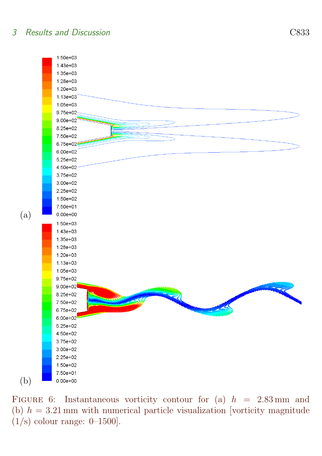#### 3 Results and Discussion C833



<span id="page-11-0"></span>FIGURE 6: Instantaneous vorticity contour for (a)  $h = 2.83$  mm and (b)  $h = 3.21$  mm with numerical particle visualization [vorticity magnitude  $(1/s)$  colour range: 0–1500].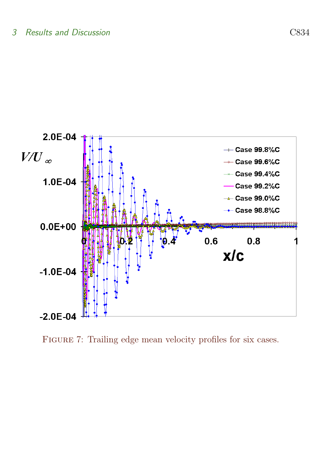

<span id="page-12-0"></span>FIGURE 7: Trailing edge mean velocity profiles for six cases.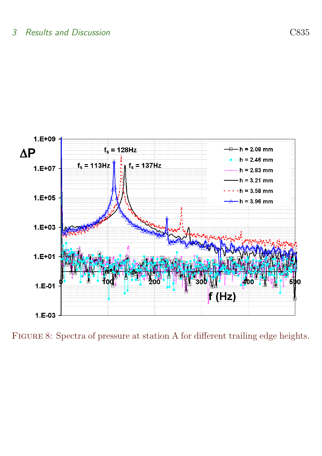

<span id="page-13-0"></span>FIGURE 8: Spectra of pressure at station A for different trailing edge heights.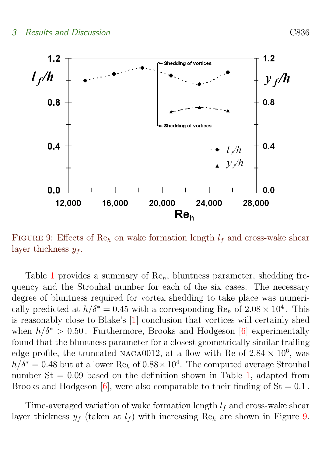<span id="page-14-1"></span>

<span id="page-14-0"></span>FIGURE 9: Effects of Re<sub>h</sub> on wake formation length  $l_f$  and cross-wake shear layer thickness  $y_f$ .

Table [1](#page-5-1) provides a summary of Reh, bluntness parameter, shedding frequency and the Strouhal number for each of the six cases. The necessary degree of bluntness required for vortex shedding to take place was numerically predicted at  $h/\delta^* = 0.45$  with a corresponding Re<sub>h</sub> of  $2.08 \times 10^4$ . This is reasonably close to Blake's [\[1\]](#page-16-1) conclusion that vortices will certainly shed when  $h/\delta^* > 0.50$ . Furthermore, Brooks and Hodgeson [\[6\]](#page-17-0) experimentally found that the bluntness parameter for a closest geometrically similar trailing edge profile, the truncated NACA0012, at a flow with Re of  $2.84 \times 10^6$ , was  $h/\delta^* = 0.48$  but at a lower Re<sub>h</sub> of  $0.88 \times 10^4$ . The computed average Strouhal number  $St = 0.09$  based on the definition shown in Table [1,](#page-5-1) adapted from Brooks and Hodgeson  $[6]$ , were also comparable to their finding of  $St = 0.1$ .

Time-averaged variation of wake formation length  $l_f$  and cross-wake shear layer thickness  $y_f$  (taken at  $l_f$ ) with increasing Re<sub>h</sub> are shown in Figure [9.](#page-14-0)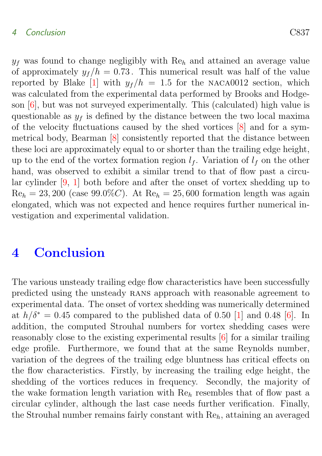#### <span id="page-15-1"></span>4 Conclusion C837

 $y_f$  was found to change negligibly with  $Re_h$  and attained an average value of approximately  $y_f/h = 0.73$ . This numerical result was half of the value reported by Blake [\[1\]](#page-16-1) with  $y_f/h = 1.5$  for the NACA0012 section, which was calculated from the experimental data performed by Brooks and Hodgeson [\[6\]](#page-17-0), but was not surveyed experimentally. This (calculated) high value is questionable as  $y_f$  is defined by the distance between the two local maxima of the velocity fluctuations caused by the shed vortices [\[8\]](#page-17-2) and for a symmetrical body, Bearman [\[8\]](#page-17-2) consistently reported that the distance between these loci are approximately equal to or shorter than the trailing edge height, up to the end of the vortex formation region  $l_f$ . Variation of  $l_f$  on the other hand, was observed to exhibit a similar trend to that of flow past a circular cylinder [\[9,](#page-17-3) [1\]](#page-16-1) both before and after the onset of vortex shedding up to  $\text{Re}_h = 23,200$  (case 99.0%C). At  $\text{Re}_h = 25,600$  formation length was again elongated, which was not expected and hence requires further numerical investigation and experimental validation.

### <span id="page-15-0"></span>4 Conclusion

The various unsteady trailing edge flow characteristics have been successfully predicted using the unsteady rans approach with reasonable agreement to experimental data. The onset of vortex shedding was numerically determined at  $h/\delta^* = 0.45$  compared to the published data of 0.50 [\[1\]](#page-16-1) and 0.48 [\[6\]](#page-17-0). In addition, the computed Strouhal numbers for vortex shedding cases were reasonably close to the existing experimental results [\[6\]](#page-17-0) for a similar trailing edge profile. Furthermore, we found that at the same Reynolds number, variation of the degrees of the trailing edge bluntness has critical effects on the flow characteristics. Firstly, by increasing the trailing edge height, the shedding of the vortices reduces in frequency. Secondly, the majority of the wake formation length variation with  $Re<sub>h</sub>$  resembles that of flow past a circular cylinder, although the last case needs further verification. Finally, the Strouhal number remains fairly constant with  $Re<sub>b</sub>$ , attaining an averaged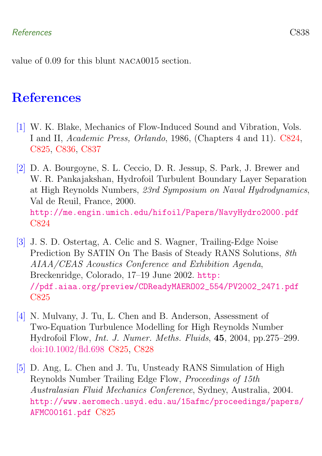value of 0.09 for this blunt naca0015 section.

### References

- <span id="page-16-1"></span><span id="page-16-0"></span>[1] W. K. Blake, Mechanics of Flow-Induced Sound and Vibration, Vols. I and II, Academic Press, Orlando, 1986, (Chapters 4 and 11). [C824,](#page-2-0) [C825,](#page-3-2) [C836,](#page-14-1) [C837](#page-15-1)
- <span id="page-16-2"></span>[2] D. A. Bourgoyne, S. L. Ceccio, D. R. Jessup, S. Park, J. Brewer and W. R. Pankajakshan, Hydrofoil Turbulent Boundary Layer Separation at High Reynolds Numbers, 23rd Symposium on Naval Hydrodynamics, Val de Reuil, France, 2000. <http://me.engin.umich.edu/hifoil/Papers/NavyHydro2000.pdf> [C824](#page-2-0)
- <span id="page-16-3"></span>[3] J. S. D. Ostertag, A. Celic and S. Wagner, Trailing-Edge Noise Prediction By SATIN On The Basis of Steady RANS Solutions, 8th AIAA/CEAS Acoustics Conference and Exhibition Agenda, Breckenridge, Colorado, 17–19 June 2002. [http:](http://pdf.aiaa.org/preview/CDReadyMAERO02_554/PV2002_2471.pdf) [//pdf.aiaa.org/preview/CDReadyMAERO02\\_554/PV2002\\_2471.pdf](http://pdf.aiaa.org/preview/CDReadyMAERO02_554/PV2002_2471.pdf) [C825](#page-3-2)
- <span id="page-16-4"></span>[4] N. Mulvany, J. Tu, L. Chen and B. Anderson, Assessment of Two-Equation Turbulence Modelling for High Reynolds Number Hydrofoil Flow, Int. J. Numer. Meths. Fluids, 45, 2004, pp.275–299. [doi:10.1002/fld.698](http://dx.doi.org/10.1002/fld.698) [C825,](#page-3-2) [C828](#page-6-1)
- <span id="page-16-5"></span>[5] D. Ang, L. Chen and J. Tu, Unsteady RANS Simulation of High Reynolds Number Trailing Edge Flow, Proceedings of 15th Australasian Fluid Mechanics Conference, Sydney, Australia, 2004. [http://www.aeromech.usyd.edu.au/15afmc/proceedings/papers/](http://www.aeromech.usyd.edu.au/15afmc/proceedings/papers/AFMC00161.pdf) [AFMC00161.pdf](http://www.aeromech.usyd.edu.au/15afmc/proceedings/papers/AFMC00161.pdf) [C825](#page-3-2)